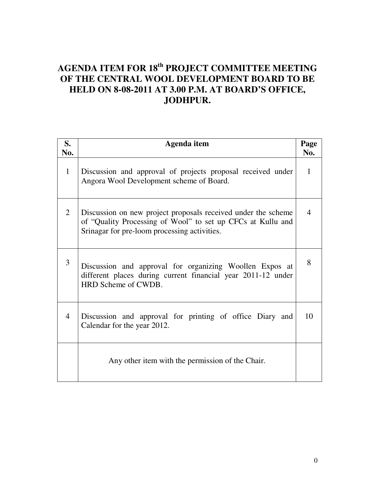# **AGENDA ITEM FOR 18th PROJECT COMMITTEE MEETING OF THE CENTRAL WOOL DEVELOPMENT BOARD TO BE HELD ON 8-08-2011 AT 3.00 P.M. AT BOARD'S OFFICE, JODHPUR.**

| S.<br>No.      | Agenda item                                                                                                                                                                  | Page<br>No. |
|----------------|------------------------------------------------------------------------------------------------------------------------------------------------------------------------------|-------------|
| $\mathbf{1}$   | Discussion and approval of projects proposal received under<br>Angora Wool Development scheme of Board.                                                                      | 1           |
| 2              | Discussion on new project proposals received under the scheme<br>of "Quality Processing of Wool" to set up CFCs at Kullu and<br>Srinagar for pre-loom processing activities. | 4           |
| 3              | Discussion and approval for organizing Woollen Expos at<br>different places during current financial year 2011-12 under<br>HRD Scheme of CWDB.                               | 8           |
| $\overline{4}$ | Discussion and approval for printing of office Diary and<br>Calendar for the year 2012.                                                                                      | 10          |
|                | Any other item with the permission of the Chair.                                                                                                                             |             |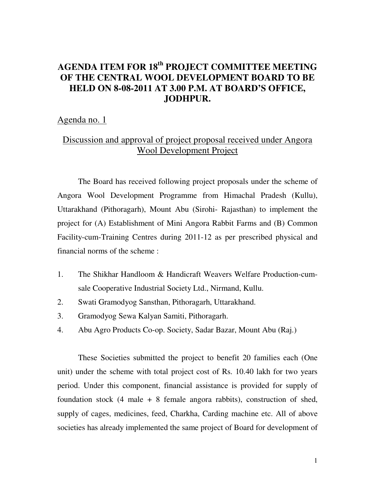# **AGENDA ITEM FOR 18th PROJECT COMMITTEE MEETING OF THE CENTRAL WOOL DEVELOPMENT BOARD TO BE HELD ON 8-08-2011 AT 3.00 P.M. AT BOARD'S OFFICE, JODHPUR.**

#### Agenda no. 1

# Discussion and approval of project proposal received under Angora Wool Development Project

 The Board has received following project proposals under the scheme of Angora Wool Development Programme from Himachal Pradesh (Kullu), Uttarakhand (Pithoragarh), Mount Abu (Sirohi- Rajasthan) to implement the project for (A) Establishment of Mini Angora Rabbit Farms and (B) Common Facility-cum-Training Centres during 2011-12 as per prescribed physical and financial norms of the scheme :

- 1. The Shikhar Handloom & Handicraft Weavers Welfare Production-cumsale Cooperative Industrial Society Ltd., Nirmand, Kullu.
- 2. Swati Gramodyog Sansthan, Pithoragarh, Uttarakhand.
- 3. Gramodyog Sewa Kalyan Samiti, Pithoragarh.
- 4. Abu Agro Products Co-op. Society, Sadar Bazar, Mount Abu (Raj.)

 These Societies submitted the project to benefit 20 families each (One unit) under the scheme with total project cost of Rs. 10.40 lakh for two years period. Under this component, financial assistance is provided for supply of foundation stock  $(4 \text{ male } + 8 \text{ female angora rabbits})$ , construction of shed, supply of cages, medicines, feed, Charkha, Carding machine etc. All of above societies has already implemented the same project of Board for development of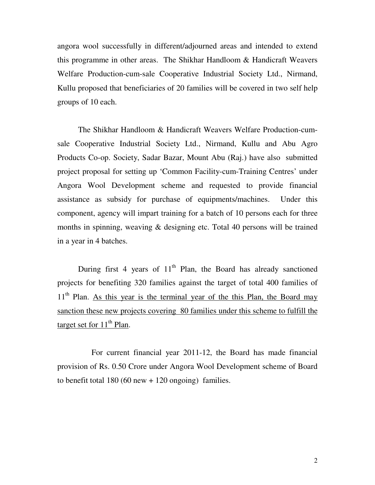angora wool successfully in different/adjourned areas and intended to extend this programme in other areas. The Shikhar Handloom & Handicraft Weavers Welfare Production-cum-sale Cooperative Industrial Society Ltd., Nirmand, Kullu proposed that beneficiaries of 20 families will be covered in two self help groups of 10 each.

 The Shikhar Handloom & Handicraft Weavers Welfare Production-cumsale Cooperative Industrial Society Ltd., Nirmand, Kullu and Abu Agro Products Co-op. Society, Sadar Bazar, Mount Abu (Raj.) have also submitted project proposal for setting up 'Common Facility-cum-Training Centres' under Angora Wool Development scheme and requested to provide financial assistance as subsidy for purchase of equipments/machines. Under this component, agency will impart training for a batch of 10 persons each for three months in spinning, weaving & designing etc. Total 40 persons will be trained in a year in 4 batches.

During first 4 years of  $11<sup>th</sup>$  Plan, the Board has already sanctioned projects for benefiting 320 families against the target of total 400 families of  $11<sup>th</sup>$  Plan. As this year is the terminal year of the this Plan, the Board may sanction these new projects covering 80 families under this scheme to fulfill the target set for  $11<sup>th</sup>$  Plan.

For current financial year 2011-12, the Board has made financial provision of Rs. 0.50 Crore under Angora Wool Development scheme of Board to benefit total  $180 (60$  new  $+ 120$  ongoing) families.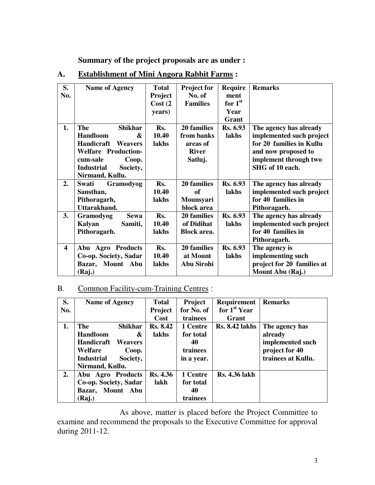**Summary of the project proposals are as under :** 

| S.                      | <b>Name of Agency</b>         | <b>Total</b>   | <b>Project for</b> | <b>Require</b>  | <b>Remarks</b>             |
|-------------------------|-------------------------------|----------------|--------------------|-----------------|----------------------------|
| No.                     |                               | <b>Project</b> | No. of             | ment            |                            |
|                         |                               | Cost(2)        | <b>Families</b>    | for $1st$       |                            |
|                         |                               | years)         |                    | Year            |                            |
|                         |                               |                |                    | Grant           |                            |
| 1.                      | <b>The</b><br><b>Shikhar</b>  | Rs.            | 20 families        | Rs. 6.93        | The agency has already     |
|                         | <b>Handloom</b><br>&          | 10.40          | from banks         | lakhs           | implemented such project   |
|                         | Handicraft<br><b>Weavers</b>  | lakhs          | areas of           |                 | for 20 families in Kullu   |
|                         | <b>Welfare Production-</b>    |                | <b>River</b>       |                 | and now proposed to        |
|                         | cum-sale<br>Coop.             |                | Satluj.            |                 | implement through two      |
|                         | Society,<br><b>Industrial</b> |                |                    |                 | SHG of 10 each.            |
|                         | Nirmand, Kullu.               |                |                    |                 |                            |
| 2.                      | Gramodyog<br>Swati            | Rs.            | 20 families        | <b>Rs. 6.93</b> | The agency has already     |
|                         | Sansthan,                     | 10.40          | <b>of</b>          | lakhs           | implemented such project   |
|                         | Pithoragarh,                  | lakhs          | Mounsyari          |                 | for 40 families in         |
|                         | Uttarakhand.                  |                | block area         |                 | Pithoragarh.               |
| 3.                      | <b>Sewa</b><br>Gramodyog      | Rs.            | 20 families        | Rs. 6.93        | The agency has already     |
|                         | Kalyan<br>Samiti,             | 10.40          | of Didihat         | lakhs           | implemented such project   |
|                         | Pithoragarh.                  | lakhs          | <b>Block area.</b> |                 | for 40 families in         |
|                         |                               |                |                    |                 | Pithoragarh.               |
| $\overline{\mathbf{4}}$ | Abu Agro Products             | Rs.            | 20 families        | Rs. 6.93        | The agency is              |
|                         | Co-op. Society, Sadar         | 10.40          | at Mount           | lakhs           | implementing such          |
|                         | Mount Abu<br>Bazar,           | lakhs          | <b>Abu Sirohi</b>  |                 | project for 20 families at |
|                         | (Raj.)                        |                |                    |                 | Mount Abu (Raj.)           |

# **A. Establishment of Mini Angora Rabbit Farms :**

## B. Common Facility-cum-Training Centres :

| S.  | <b>Name of Agency</b>         | <b>Total</b>    | Project    | <b>Requirement</b>       | <b>Remarks</b>     |
|-----|-------------------------------|-----------------|------------|--------------------------|--------------------|
| No. |                               | Project         | for No. of | for 1 <sup>st</sup> Year |                    |
|     |                               | Cost            | trainees   | Grant                    |                    |
| 1.  | <b>The</b><br><b>Shikhar</b>  | <b>Rs. 8.42</b> | 1 Centre   | <b>Rs. 8.42 lakhs</b>    | The agency has     |
|     | <b>Handloom</b><br>&          | lakhs           | for total  |                          | already            |
|     | Handicraft<br><b>Weavers</b>  |                 | 40         |                          | implemented such   |
|     | Welfare<br>Coop.              |                 | trainees   |                          | project for 40     |
|     | <b>Industrial</b><br>Society, |                 | in a year. |                          | trainees at Kullu. |
|     | Nirmand, Kullu.               |                 |            |                          |                    |
| 2.  | Abu Agro Products             | <b>Rs. 4.36</b> | 1 Centre   | <b>Rs. 4.36 lakh</b>     |                    |
|     | Co-op. Society, Sadar         | lakh            | for total  |                          |                    |
|     | Bazar, Mount Abu              |                 | 40         |                          |                    |
|     | (Raj.)                        |                 | trainees   |                          |                    |

 As above, matter is placed before the Project Committee to examine and recommend the proposals to the Executive Committee for approval during 2011-12.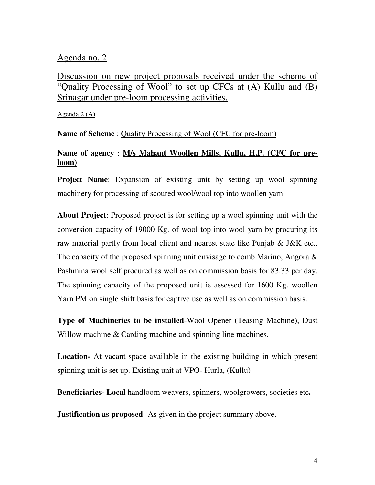### Agenda no. 2

Discussion on new project proposals received under the scheme of "Quality Processing of Wool" to set up CFCs at (A) Kullu and (B) Srinagar under pre-loom processing activities.

Agenda 2 (A)

**Name of Scheme** : Quality Processing of Wool (CFC for pre-loom)

# **Name of agency** : **M/s Mahant Woollen Mills, Kullu, H.P. (CFC for preloom)**

**Project Name:** Expansion of existing unit by setting up wool spinning machinery for processing of scoured wool/wool top into woollen yarn

**About Project**: Proposed project is for setting up a wool spinning unit with the conversion capacity of 19000 Kg. of wool top into wool yarn by procuring its raw material partly from local client and nearest state like Punjab & J&K etc.. The capacity of the proposed spinning unit envisage to comb Marino, Angora & Pashmina wool self procured as well as on commission basis for 83.33 per day. The spinning capacity of the proposed unit is assessed for 1600 Kg. woollen Yarn PM on single shift basis for captive use as well as on commission basis.

**Type of Machineries to be installed**-Wool Opener (Teasing Machine), Dust Willow machine & Carding machine and spinning line machines.

**Location-** At vacant space available in the existing building in which present spinning unit is set up. Existing unit at VPO- Hurla, (Kullu)

**Beneficiaries- Local** handloom weavers, spinners, woolgrowers, societies etc**.** 

**Justification as proposed** As given in the project summary above.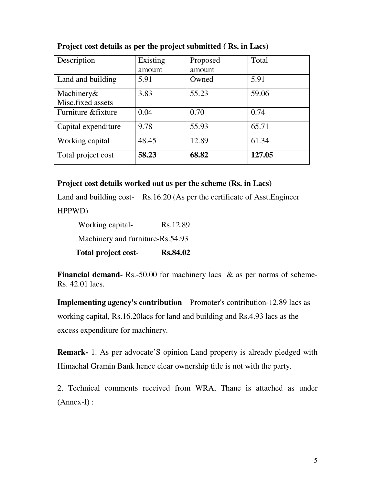| Description         | Existing | Proposed | Total  |
|---------------------|----------|----------|--------|
|                     | amount   | amount   |        |
| Land and building   | 5.91     | Owned    | 5.91   |
| Machinery&          | 3.83     | 55.23    | 59.06  |
| Misc.fixed assets   |          |          |        |
| Furniture & fixture | 0.04     | 0.70     | 0.74   |
| Capital expenditure | 9.78     | 55.93    | 65.71  |
| Working capital     | 48.45    | 12.89    | 61.34  |
| Total project cost  | 58.23    | 68.82    | 127.05 |

**Project cost details as per the project submitted ( Rs. in Lacs)**

#### **Project cost details worked out as per the scheme (Rs. in Lacs)**

Land and building cost- Rs.16.20 (As per the certificate of Asst.Engineer HPPWD)

| <b>Total project cost-</b>       | <b>Rs.84.02</b> |
|----------------------------------|-----------------|
| Machinery and furniture-Rs.54.93 |                 |
| Working capital-                 | Rs.12.89        |

**Financial demand-** Rs.-50.00 for machinery lacs & as per norms of scheme-Rs. 42.01 lacs.

**Implementing agency's contribution** – Promoter's contribution-12.89 lacs as working capital, Rs.16.20lacs for land and building and Rs.4.93 lacs as the excess expenditure for machinery.

**Remark-** 1. As per advocate'S opinion Land property is already pledged with Himachal Gramin Bank hence clear ownership title is not with the party.

2. Technical comments received from WRA, Thane is attached as under (Annex-I) :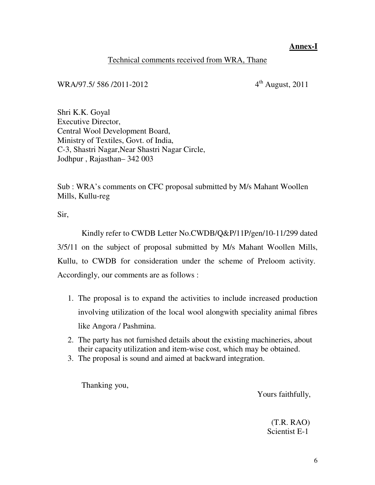## **Annex-I**

## Technical comments received from WRA, Thane

# WRA/97.5/ 586 /2011-2012 4<sup>th</sup> August, 2011

Shri K.K. Goyal Executive Director, Central Wool Development Board, Ministry of Textiles, Govt. of India, C-3, Shastri Nagar,Near Shastri Nagar Circle, Jodhpur , Rajasthan– 342 003

Sub : WRA's comments on CFC proposal submitted by M/s Mahant Woollen Mills, Kullu-reg

Sir,

 Kindly refer to CWDB Letter No.CWDB/Q&P/11P/gen/10-11/299 dated 3/5/11 on the subject of proposal submitted by M/s Mahant Woollen Mills, Kullu, to CWDB for consideration under the scheme of Preloom activity. Accordingly, our comments are as follows :

- 1. The proposal is to expand the activities to include increased production involving utilization of the local wool alongwith speciality animal fibres like Angora / Pashmina.
- 2. The party has not furnished details about the existing machineries, about their capacity utilization and item-wise cost, which may be obtained.
- 3. The proposal is sound and aimed at backward integration.

Thanking you,

Yours faithfully,

 (T.R. RAO) Scientist E-1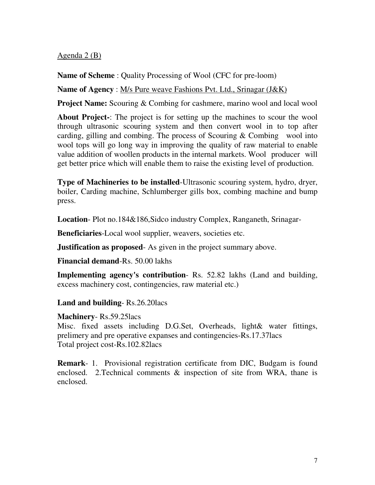### Agenda 2 (B)

**Name of Scheme** : Quality Processing of Wool (CFC for pre-loom)

**Name of Agency** : M/s Pure weave Fashions Pvt. Ltd., Srinagar (J&K)

**Project Name:** Scouring & Combing for cashmere, marino wool and local wool

**About Project-**: The project is for setting up the machines to scour the wool through ultrasonic scouring system and then convert wool in to top after carding, gilling and combing. The process of Scouring  $\&$  Combing wool into wool tops will go long way in improving the quality of raw material to enable value addition of woollen products in the internal markets. Wool producer will get better price which will enable them to raise the existing level of production.

**Type of Machineries to be installed**-Ultrasonic scouring system, hydro, dryer, boiler, Carding machine, Schlumberger gills box, combing machine and bump press.

**Location**- Plot no.184&186,Sidco industry Complex, Ranganeth, Srinagar-

**Beneficiaries**-Local wool supplier, weavers, societies etc.

**Justification as proposed** As given in the project summary above.

**Financial demand**-Rs. 50.00 lakhs

**Implementing agency's contribution**- Rs. 52.82 lakhs (Land and building, excess machinery cost, contingencies, raw material etc.)

**Land and building**- Rs.26.20lacs

### **Machinery**- Rs.59.25lacs

Misc. fixed assets including D.G.Set, Overheads, light& water fittings, prelimery and pre operative expanses and contingencies-Rs.17.37lacs Total project cost-Rs.102.82lacs

**Remark**- 1. Provisional registration certificate from DIC, Budgam is found enclosed. 2.Technical comments & inspection of site from WRA, thane is enclosed.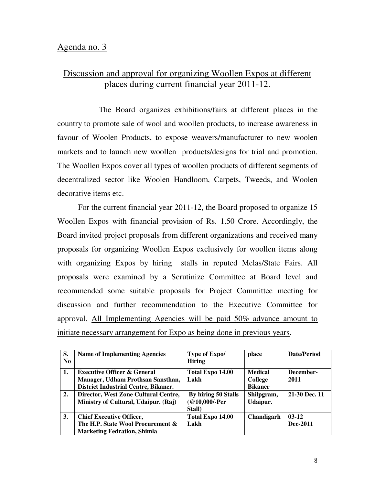# Discussion and approval for organizing Woollen Expos at different places during current financial year 2011-12.

 The Board organizes exhibitions/fairs at different places in the country to promote sale of wool and woollen products, to increase awareness in favour of Woolen Products, to expose weavers/manufacturer to new woolen markets and to launch new woollen products/designs for trial and promotion. The Woollen Expos cover all types of woollen products of different segments of decentralized sector like Woolen Handloom, Carpets, Tweeds, and Woolen decorative items etc.

For the current financial year 2011-12, the Board proposed to organize 15 Woollen Expos with financial provision of Rs. 1.50 Crore. Accordingly, the Board invited project proposals from different organizations and received many proposals for organizing Woollen Expos exclusively for woollen items along with organizing Expos by hiring stalls in reputed Melas/State Fairs. All proposals were examined by a Scrutinize Committee at Board level and recommended some suitable proposals for Project Committee meeting for discussion and further recommendation to the Executive Committee for approval. All Implementing Agencies will be paid 50% advance amount to initiate necessary arrangement for Expo as being done in previous years.

| S.             | <b>Name of Implementing Agencies</b>        | Type of Expo/       | place          | Date/Period   |
|----------------|---------------------------------------------|---------------------|----------------|---------------|
| N <sub>0</sub> |                                             | <b>Hiring</b>       |                |               |
| 1.             | <b>Executive Officer &amp; General</b>      | Total Expo 14.00    | <b>Medical</b> | December-     |
|                | Manager, Udham Prothsan Sansthan,           | Lakh                | <b>College</b> | 2011          |
|                | <b>District Industrial Centre, Bikaner.</b> |                     | <b>Bikaner</b> |               |
| 2.             | Director, West Zone Cultural Centre,        | By hiring 50 Stalls | Shilpgram,     | 21-30 Dec. 11 |
|                | Ministry of Cultural, Udaipur. (Raj)        | $@10,000$ -Per      | Udaipur.       |               |
|                |                                             | Stall)              |                |               |
| 3.             | <b>Chief Executive Officer,</b>             | Total Expo 14.00    | Chandigarh     | $03-12$       |
|                | The H.P. State Wool Procurement &           | Lakh                |                | Dec-2011      |
|                | <b>Marketing Fedration, Shimla</b>          |                     |                |               |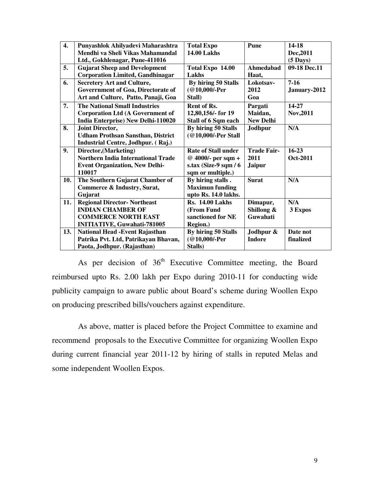| $\boldsymbol{4}$ . | Punyashlok Ahilyadevi Maharashtra         | <b>Total Expo</b>          | Pune               | 14-18              |
|--------------------|-------------------------------------------|----------------------------|--------------------|--------------------|
|                    | Mendhi va Sheli Vikas Mahamandal          | <b>14.00 Lakhs</b>         |                    | Dec, 2011          |
|                    | Ltd., Gokhlenagar, Pune-411016            |                            |                    | $(5 \text{ Days})$ |
| 5.                 | <b>Gujarat Sheep and Development</b>      | Total Expo 14.00           | Ahmedabad          | 09-18 Dec.11       |
|                    | <b>Corporation Limited, Gandhinagar</b>   | Lakhs                      | Haat,              |                    |
| 6.                 | <b>Secretery Art and Culture,</b>         | By hiring 50 Stalls        | Lokotsav-          | $7 - 16$           |
|                    | Goverrnment of Goa, Directorate of        | (@10,000/-Per              | 2012               | January-2012       |
|                    | Art and Culture, Patto, Panaji, Goa       | Stall)                     | Goa                |                    |
| 7.                 | <b>The National Small Industries</b>      | Rent of Rs.                | Pargati            | 14-27              |
|                    | <b>Corporation Ltd (A Government of</b>   | 12,80,156/- for 19         | Maidan,            | Nov, 2011          |
|                    | <b>India Enterprise) New Delhi-110020</b> | Stall of 6 Sqm each        | <b>New Delhi</b>   |                    |
| 8.                 | Joint Director,                           | By hiring 50 Stalls        | Jodhpur            | N/A                |
|                    | <b>Udham Prothsan Sansthan, District</b>  | (@10,000/-Per Stall        |                    |                    |
|                    | Industrial Centre, Jodhpur. (Raj.)        |                            |                    |                    |
| 9.                 | Director, (Marketing)                     | <b>Rate of Stall under</b> | <b>Trade Fair-</b> | $16 - 23$          |
|                    | <b>Northern India International Trade</b> | @ 4000/- per sqm +         | 2011               | Oct-2011           |
|                    | <b>Event Organization, New Delhi-</b>     | s.tax (Size-9 sqm / 6      | <b>Jaipur</b>      |                    |
|                    | 110017                                    | sqm or multiple.)          |                    |                    |
| 10.                | The Southern Gujarat Chamber of           | By hiring stalls.          | <b>Surat</b>       | N/A                |
|                    | Commerce & Industry, Surat,               | <b>Maximun funding</b>     |                    |                    |
|                    | Gujarat                                   | upto Rs. 14.0 lakhs.       |                    |                    |
| 11.                | <b>Regional Director- Northeast</b>       | <b>Rs. 14.00 Lakhs</b>     | Dimapur,           | N/A                |
|                    | <b>INDIAN CHAMBER OF</b>                  | (From Fund                 | Shillong &         | 3 Expos            |
|                    | <b>COMMERCE NORTH EAST</b>                | sanctioned for NE          | Guwahati           |                    |
|                    | <b>INITIATIVE, Guwahati-781005</b>        | Region.)                   |                    |                    |
| 13.                | <b>National Head - Event Rajasthan</b>    | By hiring 50 Stalls        | Jodhpur &          | Date not           |
|                    | Patrika Pvt. Ltd, Patrikayan Bhavan,      | (@10,000/-Per              | <b>Indore</b>      | finalized          |
|                    | Paota, Jodhpur. (Rajasthan)               | Stalls)                    |                    |                    |

As per decision of  $36<sup>th</sup>$  Executive Committee meeting, the Board reimbursed upto Rs. 2.00 lakh per Expo during 2010-11 for conducting wide publicity campaign to aware public about Board's scheme during Woollen Expo on producing prescribed bills/vouchers against expenditure.

 As above, matter is placed before the Project Committee to examine and recommend proposals to the Executive Committee for organizing Woollen Expo during current financial year 2011-12 by hiring of stalls in reputed Melas and some independent Woollen Expos.